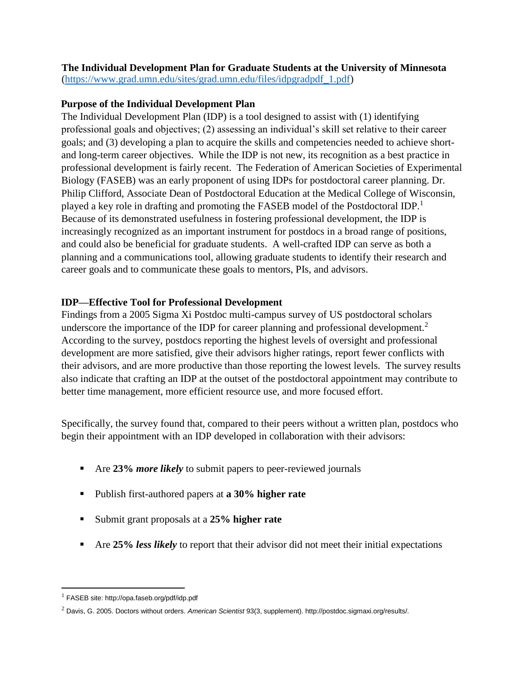**The Individual Development Plan for Graduate Students at the University of Minnesota**  [\(https://www.grad.umn.edu/sites/grad.umn.edu/files/idpgradpdf\\_1.pdf\)](https://www.grad.umn.edu/sites/grad.umn.edu/files/idpgradpdf_1.pdf)

## **Purpose of the Individual Development Plan**

The Individual Development Plan (IDP) is a tool designed to assist with (1) identifying professional goals and objectives; (2) assessing an individual's skill set relative to their career goals; and (3) developing a plan to acquire the skills and competencies needed to achieve shortand long-term career objectives. While the IDP is not new, its recognition as a best practice in professional development is fairly recent. The Federation of American Societies of Experimental Biology (FASEB) was an early proponent of using IDPs for postdoctoral career planning. Dr. Philip Clifford, Associate Dean of Postdoctoral Education at the Medical College of Wisconsin, played a key role in drafting and promoting the FASEB model of the Postdoctoral IDP.<sup>1</sup> Because of its demonstrated usefulness in fostering professional development, the IDP is increasingly recognized as an important instrument for postdocs in a broad range of positions, and could also be beneficial for graduate students. A well-crafted IDP can serve as both a planning and a communications tool, allowing graduate students to identify their research and career goals and to communicate these goals to mentors, PIs, and advisors.

## **IDP—Effective Tool for Professional Development**

Findings from a 2005 Sigma Xi Postdoc multi-campus survey of US postdoctoral scholars underscore the importance of the IDP for career planning and professional development.<sup>2</sup> According to the survey, postdocs reporting the highest levels of oversight and professional development are more satisfied, give their advisors higher ratings, report fewer conflicts with their advisors, and are more productive than those reporting the lowest levels. The survey results also indicate that crafting an IDP at the outset of the postdoctoral appointment may contribute to better time management, more efficient resource use, and more focused effort.

Specifically, the survey found that, compared to their peers without a written plan, postdocs who begin their appointment with an IDP developed in collaboration with their advisors:

- Are **23%** *more likely* to submit papers to peer-reviewed journals
- Publish first-authored papers at **a 30% higher rate**
- Submit grant proposals at a **25% higher rate**
- Are **25%** *less likely* to report that their advisor did not meet their initial expectations

l

<sup>1</sup> FASEB site: http://opa.faseb.org/pdf/idp.pdf

<sup>2</sup> Davis, G. 2005. Doctors without orders. *American Scientist* 93(3, supplement). http://postdoc.sigmaxi.org/results/.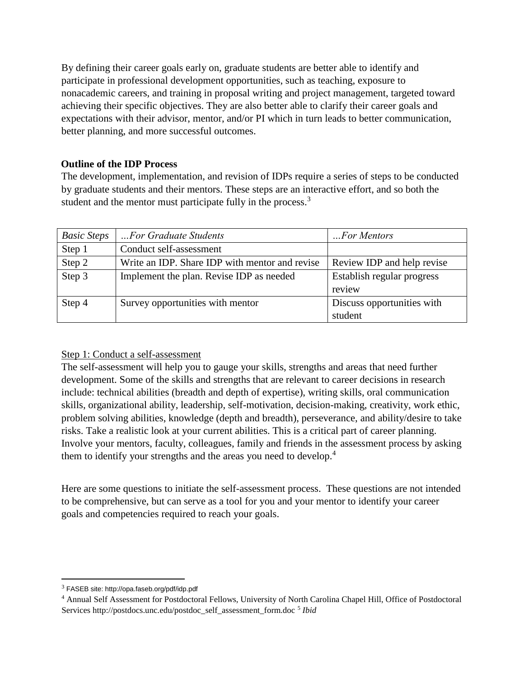By defining their career goals early on, graduate students are better able to identify and participate in professional development opportunities, such as teaching, exposure to nonacademic careers, and training in proposal writing and project management, targeted toward achieving their specific objectives. They are also better able to clarify their career goals and expectations with their advisor, mentor, and/or PI which in turn leads to better communication, better planning, and more successful outcomes.

## **Outline of the IDP Process**

The development, implementation, and revision of IDPs require a series of steps to be conducted by graduate students and their mentors. These steps are an interactive effort, and so both the student and the mentor must participate fully in the process.<sup>3</sup>

| <b>Basic Steps</b> | For Graduate Students                          | For Mentors                |  |
|--------------------|------------------------------------------------|----------------------------|--|
| Step 1             | Conduct self-assessment                        |                            |  |
| Step 2             | Write an IDP. Share IDP with mentor and revise | Review IDP and help revise |  |
| Step 3             | Implement the plan. Revise IDP as needed       | Establish regular progress |  |
|                    |                                                | review                     |  |
| Step 4             | Survey opportunities with mentor               | Discuss opportunities with |  |
|                    |                                                | student                    |  |

### Step 1: Conduct a self-assessment

The self-assessment will help you to gauge your skills, strengths and areas that need further development. Some of the skills and strengths that are relevant to career decisions in research include: technical abilities (breadth and depth of expertise), writing skills, oral communication skills, organizational ability, leadership, self-motivation, decision-making, creativity, work ethic, problem solving abilities, knowledge (depth and breadth), perseverance, and ability/desire to take risks. Take a realistic look at your current abilities. This is a critical part of career planning. Involve your mentors, faculty, colleagues, family and friends in the assessment process by asking them to identify your strengths and the areas you need to develop.<sup>4</sup>

Here are some questions to initiate the self-assessment process. These questions are not intended to be comprehensive, but can serve as a tool for you and your mentor to identify your career goals and competencies required to reach your goals.

 $\overline{\phantom{a}}$ 

<sup>3</sup> FASEB site: http://opa.faseb.org/pdf/idp.pdf

<sup>4</sup> Annual Self Assessment for Postdoctoral Fellows, University of North Carolina Chapel Hill, Office of Postdoctoral Services http://postdocs.unc.edu/postdoc\_self\_assessment\_form.doc <sup>5</sup> Ibid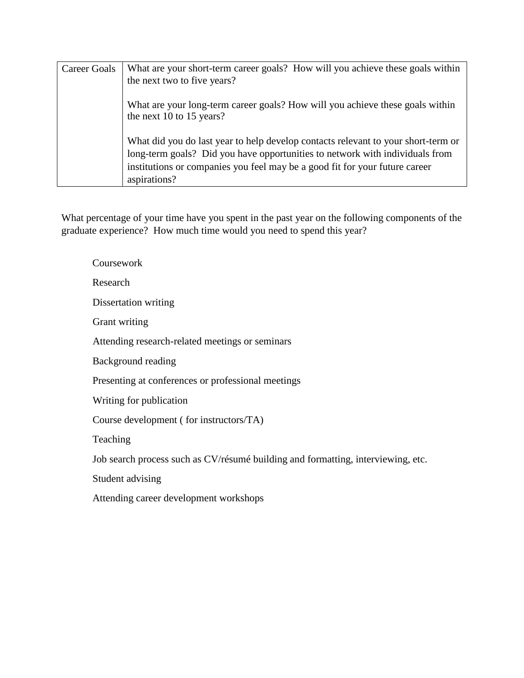| Career Goals | What are your short-term career goals? How will you achieve these goals within                                                                                                                                                                                   |
|--------------|------------------------------------------------------------------------------------------------------------------------------------------------------------------------------------------------------------------------------------------------------------------|
|              | the next two to five years?                                                                                                                                                                                                                                      |
|              | What are your long-term career goals? How will you achieve these goals within<br>the next 10 to 15 years?                                                                                                                                                        |
|              | What did you do last year to help develop contacts relevant to your short-term or<br>long-term goals? Did you have opportunities to network with individuals from<br>institutions or companies you feel may be a good fit for your future career<br>aspirations? |

What percentage of your time have you spent in the past year on the following components of the graduate experience? How much time would you need to spend this year?

Coursework Research Dissertation writing Grant writing Attending research-related meetings or seminars Background reading Presenting at conferences or professional meetings Writing for publication Course development ( for instructors/TA) Teaching Job search process such as CV/résumé building and formatting, interviewing, etc. Student advising Attending career development workshops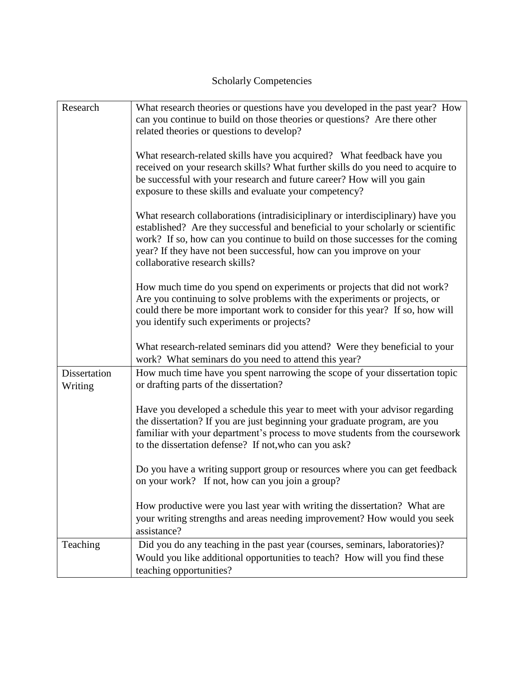# Scholarly Competencies

| Research                | What research theories or questions have you developed in the past year? How<br>can you continue to build on those theories or questions? Are there other<br>related theories or questions to develop?                                                                                                                                                      |
|-------------------------|-------------------------------------------------------------------------------------------------------------------------------------------------------------------------------------------------------------------------------------------------------------------------------------------------------------------------------------------------------------|
|                         | What research-related skills have you acquired? What feedback have you<br>received on your research skills? What further skills do you need to acquire to<br>be successful with your research and future career? How will you gain<br>exposure to these skills and evaluate your competency?                                                                |
|                         | What research collaborations (intradisiciplinary or interdisciplinary) have you<br>established? Are they successful and beneficial to your scholarly or scientific<br>work? If so, how can you continue to build on those successes for the coming<br>year? If they have not been successful, how can you improve on your<br>collaborative research skills? |
|                         | How much time do you spend on experiments or projects that did not work?<br>Are you continuing to solve problems with the experiments or projects, or<br>could there be more important work to consider for this year? If so, how will<br>you identify such experiments or projects?                                                                        |
|                         | What research-related seminars did you attend? Were they beneficial to your<br>work? What seminars do you need to attend this year?                                                                                                                                                                                                                         |
| Dissertation<br>Writing | How much time have you spent narrowing the scope of your dissertation topic<br>or drafting parts of the dissertation?                                                                                                                                                                                                                                       |
|                         | Have you developed a schedule this year to meet with your advisor regarding<br>the dissertation? If you are just beginning your graduate program, are you<br>familiar with your department's process to move students from the coursework<br>to the dissertation defense? If not, who can you ask?                                                          |
|                         | Do you have a writing support group or resources where you can get feedback<br>on your work? If not, how can you join a group?                                                                                                                                                                                                                              |
|                         | How productive were you last year with writing the dissertation? What are<br>your writing strengths and areas needing improvement? How would you seek<br>assistance?                                                                                                                                                                                        |
| Teaching                | Did you do any teaching in the past year (courses, seminars, laboratories)?<br>Would you like additional opportunities to teach? How will you find these<br>teaching opportunities?                                                                                                                                                                         |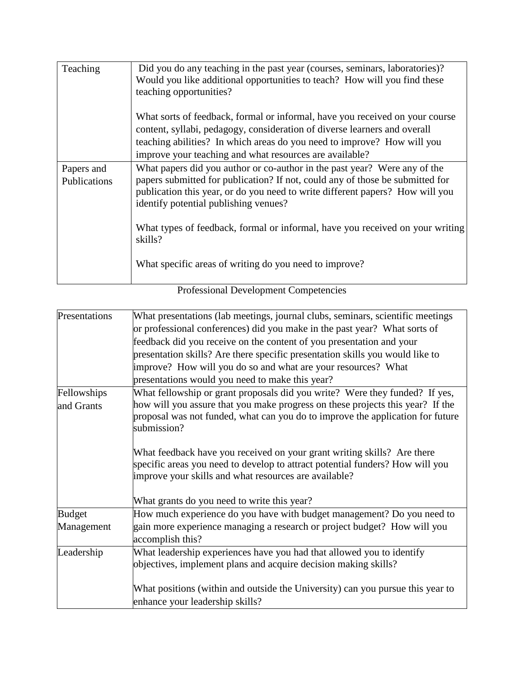| Teaching                   | Did you do any teaching in the past year (courses, seminars, laboratories)?<br>Would you like additional opportunities to teach? How will you find these<br>teaching opportunities?                                                                                                                                                                                              |
|----------------------------|----------------------------------------------------------------------------------------------------------------------------------------------------------------------------------------------------------------------------------------------------------------------------------------------------------------------------------------------------------------------------------|
|                            | What sorts of feedback, formal or informal, have you received on your course<br>content, syllabi, pedagogy, consideration of diverse learners and overall<br>teaching abilities? In which areas do you need to improve? How will you<br>improve your teaching and what resources are available?                                                                                  |
| Papers and<br>Publications | What papers did you author or co-author in the past year? Were any of the<br>papers submitted for publication? If not, could any of those be submitted for<br>publication this year, or do you need to write different papers? How will you<br>identify potential publishing venues?<br>What types of feedback, formal or informal, have you received on your writing<br>skills? |
|                            | What specific areas of writing do you need to improve?<br>$\mathbf{1}$ $\mathbf{R}$ $\mathbf{1}$                                                                                                                                                                                                                                                                                 |

| Presentations | What presentations (lab meetings, journal clubs, seminars, scientific meetings                                                                                                                                                     |  |  |  |  |
|---------------|------------------------------------------------------------------------------------------------------------------------------------------------------------------------------------------------------------------------------------|--|--|--|--|
|               | or professional conferences) did you make in the past year? What sorts of<br>feedback did you receive on the content of you presentation and your<br>presentation skills? Are there specific presentation skills you would like to |  |  |  |  |
|               |                                                                                                                                                                                                                                    |  |  |  |  |
|               |                                                                                                                                                                                                                                    |  |  |  |  |
|               | improve? How will you do so and what are your resources? What                                                                                                                                                                      |  |  |  |  |
|               | presentations would you need to make this year?                                                                                                                                                                                    |  |  |  |  |
| Fellowships   | What fellowship or grant proposals did you write? Were they funded? If yes,                                                                                                                                                        |  |  |  |  |
| and Grants    | how will you assure that you make progress on these projects this year? If the                                                                                                                                                     |  |  |  |  |
|               | proposal was not funded, what can you do to improve the application for future<br>submission?                                                                                                                                      |  |  |  |  |
|               |                                                                                                                                                                                                                                    |  |  |  |  |
|               | What feedback have you received on your grant writing skills? Are there                                                                                                                                                            |  |  |  |  |
|               | specific areas you need to develop to attract potential funders? How will you                                                                                                                                                      |  |  |  |  |
|               | improve your skills and what resources are available?                                                                                                                                                                              |  |  |  |  |
|               | What grants do you need to write this year?                                                                                                                                                                                        |  |  |  |  |
| <b>Budget</b> | How much experience do you have with budget management? Do you need to                                                                                                                                                             |  |  |  |  |
| Management    | gain more experience managing a research or project budget? How will you<br>accomplish this?                                                                                                                                       |  |  |  |  |
| Leadership    | What leadership experiences have you had that allowed you to identify                                                                                                                                                              |  |  |  |  |
|               | objectives, implement plans and acquire decision making skills?                                                                                                                                                                    |  |  |  |  |
|               | What positions (within and outside the University) can you pursue this year to                                                                                                                                                     |  |  |  |  |
|               | enhance your leadership skills?                                                                                                                                                                                                    |  |  |  |  |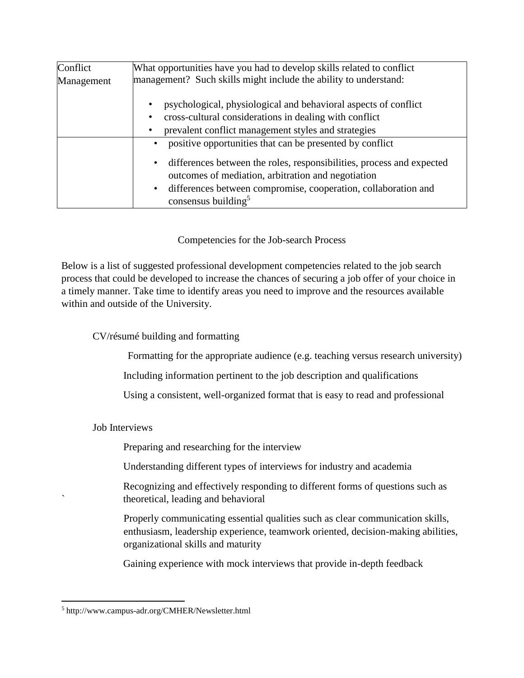| Conflict   | What opportunities have you had to develop skills related to conflict                                                                                                                                                                                                               |  |  |  |  |
|------------|-------------------------------------------------------------------------------------------------------------------------------------------------------------------------------------------------------------------------------------------------------------------------------------|--|--|--|--|
| Management | management? Such skills might include the ability to understand:                                                                                                                                                                                                                    |  |  |  |  |
|            | psychological, physiological and behavioral aspects of conflict<br>cross-cultural considerations in dealing with conflict<br>prevalent conflict management styles and strategies                                                                                                    |  |  |  |  |
|            | positive opportunities that can be presented by conflict<br>differences between the roles, responsibilities, process and expected<br>$\bullet$<br>outcomes of mediation, arbitration and negotiation<br>differences between compromise, cooperation, collaboration and<br>$\bullet$ |  |  |  |  |
|            | consensus building <sup>5</sup>                                                                                                                                                                                                                                                     |  |  |  |  |

Competencies for the Job-search Process

Below is a list of suggested professional development competencies related to the job search process that could be developed to increase the chances of securing a job offer of your choice in a timely manner. Take time to identify areas you need to improve and the resources available within and outside of the University.

CV/résumé building and formatting

Formatting for the appropriate audience (e.g. teaching versus research university)

Including information pertinent to the job description and qualifications

Using a consistent, well-organized format that is easy to read and professional

Job Interviews

Preparing and researching for the interview

Understanding different types of interviews for industry and academia

Recognizing and effectively responding to different forms of questions such as ` theoretical, leading and behavioral

Properly communicating essential qualities such as clear communication skills, enthusiasm, leadership experience, teamwork oriented, decision-making abilities, organizational skills and maturity

Gaining experience with mock interviews that provide in-depth feedback

l

<sup>5</sup> http://www.campus-adr.org/CMHER/Newsletter.html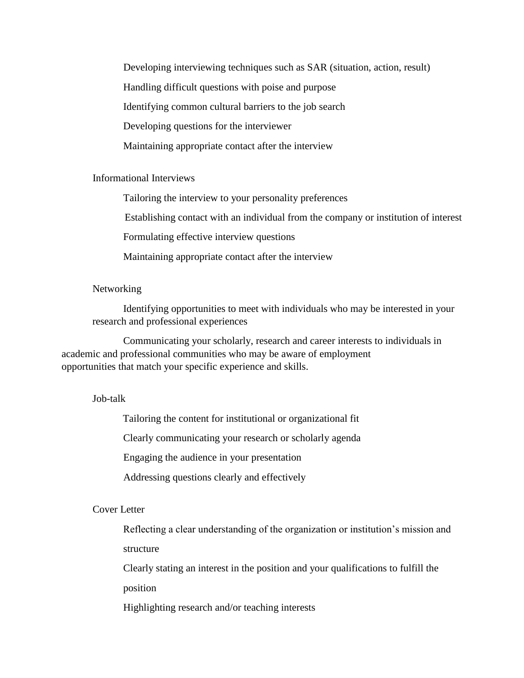Developing interviewing techniques such as SAR (situation, action, result) Handling difficult questions with poise and purpose Identifying common cultural barriers to the job search Developing questions for the interviewer Maintaining appropriate contact after the interview

#### Informational Interviews

Tailoring the interview to your personality preferences

Establishing contact with an individual from the company or institution of interest

Formulating effective interview questions

Maintaining appropriate contact after the interview

#### Networking

Identifying opportunities to meet with individuals who may be interested in your research and professional experiences

Communicating your scholarly, research and career interests to individuals in academic and professional communities who may be aware of employment opportunities that match your specific experience and skills.

#### Job-talk

Tailoring the content for institutional or organizational fit

Clearly communicating your research or scholarly agenda

Engaging the audience in your presentation

Addressing questions clearly and effectively

#### Cover Letter

Reflecting a clear understanding of the organization or institution's mission and structure

Clearly stating an interest in the position and your qualifications to fulfill the position

Highlighting research and/or teaching interests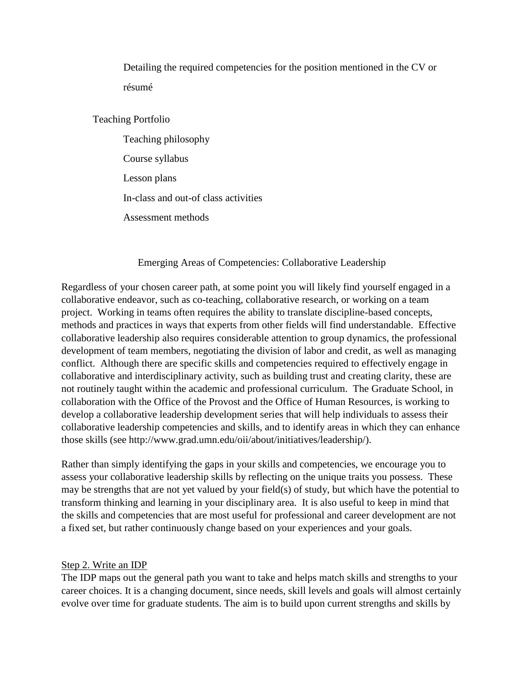Detailing the required competencies for the position mentioned in the CV or résumé

Teaching Portfolio

Teaching philosophy Course syllabus Lesson plans In-class and out-of class activities Assessment methods

Emerging Areas of Competencies: Collaborative Leadership

Regardless of your chosen career path, at some point you will likely find yourself engaged in a collaborative endeavor, such as co-teaching, collaborative research, or working on a team project. Working in teams often requires the ability to translate discipline-based concepts, methods and practices in ways that experts from other fields will find understandable. Effective collaborative leadership also requires considerable attention to group dynamics, the professional development of team members, negotiating the division of labor and credit, as well as managing conflict. Although there are specific skills and competencies required to effectively engage in collaborative and interdisciplinary activity, such as building trust and creating clarity, these are not routinely taught within the academic and professional curriculum. The Graduate School, in collaboration with the Office of the Provost and the Office of Human Resources, is working to develop a collaborative leadership development series that will help individuals to assess their collaborative leadership competencies and skills, and to identify areas in which they can enhance those skills (see http://www.grad.umn.edu/oii/about/initiatives/leadership/).

Rather than simply identifying the gaps in your skills and competencies, we encourage you to assess your collaborative leadership skills by reflecting on the unique traits you possess. These may be strengths that are not yet valued by your field(s) of study, but which have the potential to transform thinking and learning in your disciplinary area. It is also useful to keep in mind that the skills and competencies that are most useful for professional and career development are not a fixed set, but rather continuously change based on your experiences and your goals.

### Step 2. Write an IDP

The IDP maps out the general path you want to take and helps match skills and strengths to your career choices. It is a changing document, since needs, skill levels and goals will almost certainly evolve over time for graduate students. The aim is to build upon current strengths and skills by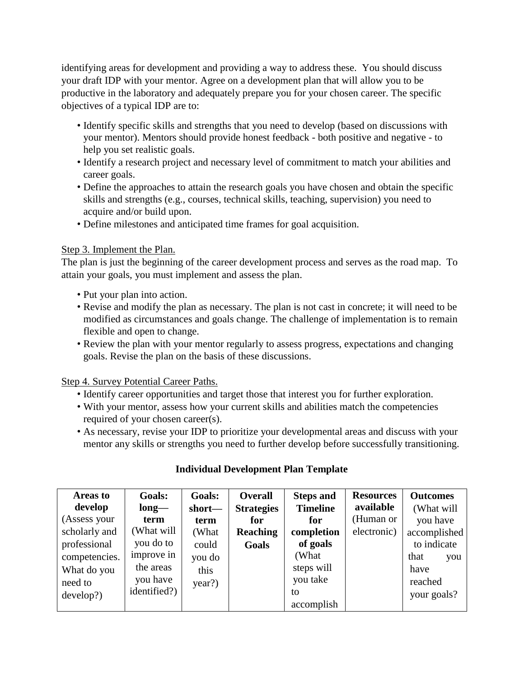identifying areas for development and providing a way to address these. You should discuss your draft IDP with your mentor. Agree on a development plan that will allow you to be productive in the laboratory and adequately prepare you for your chosen career. The specific objectives of a typical IDP are to:

- Identify specific skills and strengths that you need to develop (based on discussions with your mentor). Mentors should provide honest feedback - both positive and negative - to help you set realistic goals.
- Identify a research project and necessary level of commitment to match your abilities and career goals.
- Define the approaches to attain the research goals you have chosen and obtain the specific skills and strengths (e.g., courses, technical skills, teaching, supervision) you need to acquire and/or build upon.
- Define milestones and anticipated time frames for goal acquisition.

### Step 3. Implement the Plan.

The plan is just the beginning of the career development process and serves as the road map. To attain your goals, you must implement and assess the plan.

- Put your plan into action.
- Revise and modify the plan as necessary. The plan is not cast in concrete; it will need to be modified as circumstances and goals change. The challenge of implementation is to remain flexible and open to change.
- Review the plan with your mentor regularly to assess progress, expectations and changing goals. Revise the plan on the basis of these discussions.

Step 4. Survey Potential Career Paths.

- Identify career opportunities and target those that interest you for further exploration.
- With your mentor, assess how your current skills and abilities match the competencies required of your chosen career(s).
- As necessary, revise your IDP to prioritize your developmental areas and discuss with your mentor any skills or strengths you need to further develop before successfully transitioning.

| Areas to      | Goals:       | Goals: | <b>Overall</b>    | <b>Steps and</b> | <b>Resources</b> | <b>Outcomes</b> |
|---------------|--------------|--------|-------------------|------------------|------------------|-----------------|
| develop       | $long-$      | short— | <b>Strategies</b> | <b>Timeline</b>  | available        | (What will      |
| (Assess your  | term         | term   | for               | for              | (Human or        | you have        |
| scholarly and | (What will   | (What  | <b>Reaching</b>   | completion       | electronic)      | accomplished    |
| professional  | you do to    | could  | Goals             | of goals         |                  | to indicate     |
| competencies. | improve in   | you do |                   | (What            |                  | that<br>you     |
| What do you   | the areas    | this   |                   | steps will       |                  | have            |
| need to       | you have     | year?) |                   | you take         |                  | reached         |
| develop?      | identified?) |        |                   | to               |                  | your goals?     |
|               |              |        |                   | accomplish       |                  |                 |

### **Individual Development Plan Template**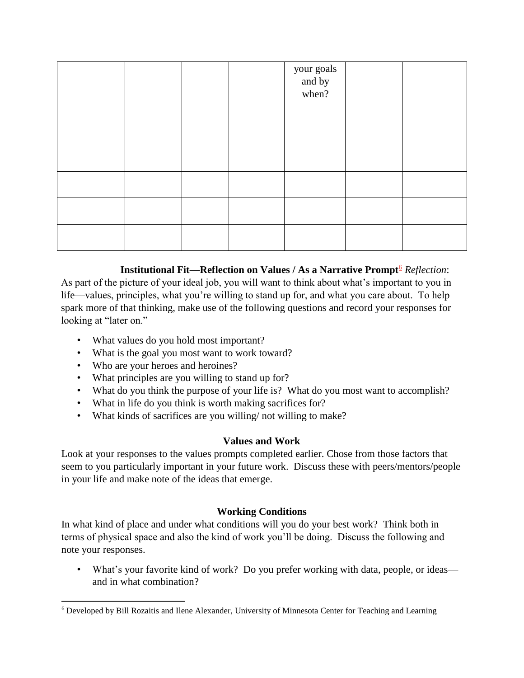|  |  | your goals<br>and by<br>when? |  |
|--|--|-------------------------------|--|
|  |  |                               |  |
|  |  |                               |  |
|  |  |                               |  |
|  |  |                               |  |

### **Institutional Fit—Reflection on Values / As a Narrative Prompt<sup>6</sup>** *Reflection*:

As part of the picture of your ideal job, you will want to think about what's important to you in life—values, principles, what you're willing to stand up for, and what you care about. To help spark more of that thinking, make use of the following questions and record your responses for looking at "later on."

- What values do you hold most important?
- What is the goal you most want to work toward?
- Who are your heroes and heroines?

l

- What principles are you willing to stand up for?
- What do you think the purpose of your life is? What do you most want to accomplish?
- What in life do you think is worth making sacrifices for?
- What kinds of sacrifices are you willing/ not willing to make?

### **Values and Work**

Look at your responses to the values prompts completed earlier. Chose from those factors that seem to you particularly important in your future work. Discuss these with peers/mentors/people in your life and make note of the ideas that emerge.

### **Working Conditions**

In what kind of place and under what conditions will you do your best work? Think both in terms of physical space and also the kind of work you'll be doing. Discuss the following and note your responses.

• What's your favorite kind of work? Do you prefer working with data, people, or ideas and in what combination?

<sup>6</sup> Developed by Bill Rozaitis and Ilene Alexander, University of Minnesota Center for Teaching and Learning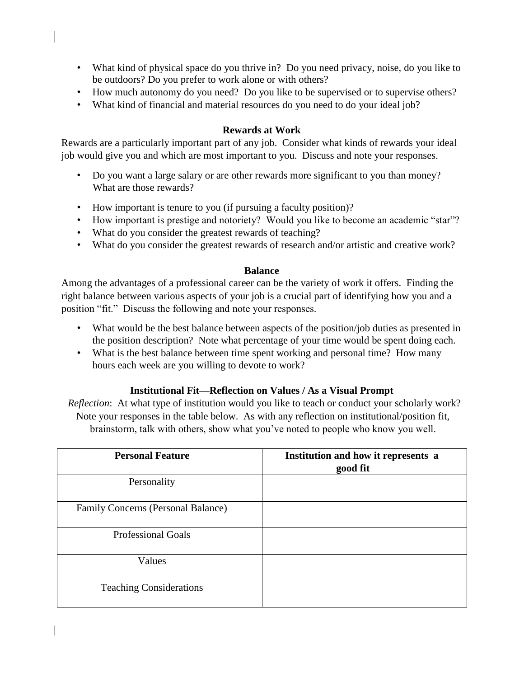- What kind of physical space do you thrive in? Do you need privacy, noise, do you like to be outdoors? Do you prefer to work alone or with others?
- How much autonomy do you need? Do you like to be supervised or to supervise others?
- What kind of financial and material resources do you need to do your ideal job?

#### **Rewards at Work**

Rewards are a particularly important part of any job. Consider what kinds of rewards your ideal job would give you and which are most important to you. Discuss and note your responses.

- Do you want a large salary or are other rewards more significant to you than money? What are those rewards?
- How important is tenure to you (if pursuing a faculty position)?
- How important is prestige and notoriety? Would you like to become an academic "star"?
- What do you consider the greatest rewards of teaching?
- What do you consider the greatest rewards of research and/or artistic and creative work?

#### **Balance**

Among the advantages of a professional career can be the variety of work it offers. Finding the right balance between various aspects of your job is a crucial part of identifying how you and a position "fit." Discuss the following and note your responses.

- What would be the best balance between aspects of the position/job duties as presented in the position description? Note what percentage of your time would be spent doing each.
- What is the best balance between time spent working and personal time? How many hours each week are you willing to devote to work?

### **Institutional Fit—Reflection on Values / As a Visual Prompt**

*Reflection*: At what type of institution would you like to teach or conduct your scholarly work? Note your responses in the table below. As with any reflection on institutional/position fit, brainstorm, talk with others, show what you've noted to people who know you well.

| <b>Personal Feature</b>                   | Institution and how it represents a<br>good fit |
|-------------------------------------------|-------------------------------------------------|
| Personality                               |                                                 |
| <b>Family Concerns (Personal Balance)</b> |                                                 |
| <b>Professional Goals</b>                 |                                                 |
| Values                                    |                                                 |
| <b>Teaching Considerations</b>            |                                                 |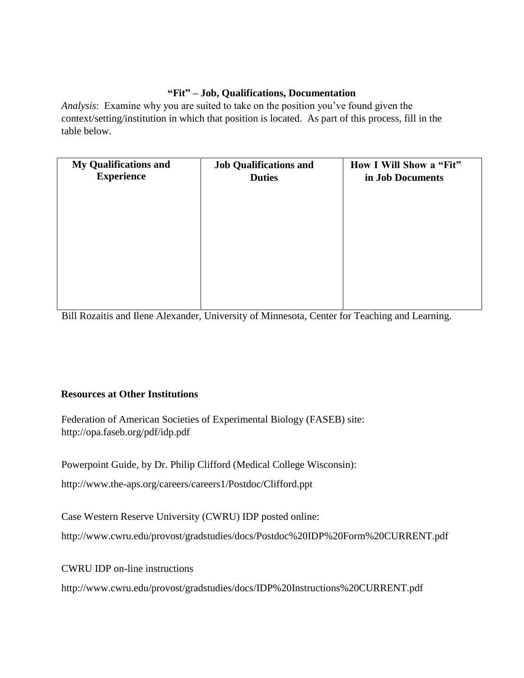### **"Fit" – Job, Qualifications, Documentation**

*Analysis*: Examine why you are suited to take on the position you've found given the context/setting/institution in which that position is located. As part of this process, fill in the table below.

| <b>My Qualifications and</b><br><b>Experience</b> | <b>Job Qualifications and</b><br><b>Duties</b> | How I Will Show a "Fit"<br>in Job Documents |
|---------------------------------------------------|------------------------------------------------|---------------------------------------------|
|                                                   |                                                |                                             |
|                                                   |                                                |                                             |
|                                                   |                                                |                                             |
|                                                   |                                                |                                             |

Bill Rozaitis and Ilene Alexander, University of Minnesota, Center for Teaching and Learning.

### **Resources at Other Institutions**

Federation of American Societies of Experimental Biology (FASEB) site: http://opa.faseb.org/pdf/idp.pdf

Powerpoint Guide, by Dr. Philip Clifford (Medical College Wisconsin):

http://www.the-aps.org/careers/careers1/Postdoc/Clifford.ppt

Case Western Reserve University (CWRU) IDP posted online:

http://www.cwru.edu/provost/gradstudies/docs/Postdoc%20IDP%20Form%20CURRENT.pdf

CWRU IDP on-line instructions

http://www.cwru.edu/provost/gradstudies/docs/IDP%20Instructions%20CURRENT.pdf